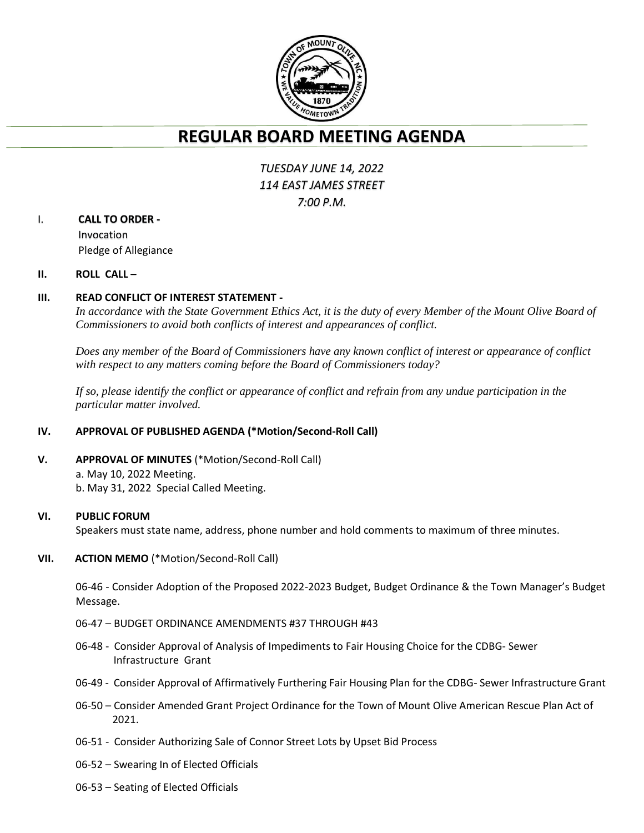

# **REGULAR BOARD MEETING AGENDA**

## *TUESDAY JUNE 14, 2022 114 EAST JAMES STREET 7:00 P.M.*

## I. **CALL TO ORDER -**

Invocation Pledge of Allegiance

### **II. ROLL CALL –**

## **III. READ CONFLICT OF INTEREST STATEMENT -**

*In accordance with the State Government Ethics Act, it is the duty of every Member of the Mount Olive Board of Commissioners to avoid both conflicts of interest and appearances of conflict.*

*Does any member of the Board of Commissioners have any known conflict of interest or appearance of conflict with respect to any matters coming before the Board of Commissioners today?*

*If so, please identify the conflict or appearance of conflict and refrain from any undue participation in the particular matter involved.*

## **IV. APPROVAL OF PUBLISHED AGENDA (\*Motion/Second-Roll Call)**

**V. APPROVAL OF MINUTES** (\*Motion/Second-Roll Call) a. May 10, 2022 Meeting. b. May 31, 2022 Special Called Meeting.

#### **VI. PUBLIC FORUM**

Speakers must state name, address, phone number and hold comments to maximum of three minutes.

#### **VII. ACTION MEMO** (\*Motion/Second-Roll Call)

06-46 - Consider Adoption of the Proposed 2022-2023 Budget, Budget Ordinance & the Town Manager's Budget Message.

- 06-47 BUDGET ORDINANCE AMENDMENTS #37 THROUGH #43
- 06-48 Consider Approval of Analysis of Impediments to Fair Housing Choice for the CDBG- Sewer Infrastructure Grant
- 06-49 Consider Approval of Affirmatively Furthering Fair Housing Plan for the CDBG- Sewer Infrastructure Grant
- 06-50 Consider Amended Grant Project Ordinance for the Town of Mount Olive American Rescue Plan Act of 2021.
- 06-51 Consider Authorizing Sale of Connor Street Lots by Upset Bid Process
- 06-52 Swearing In of Elected Officials
- 06-53 Seating of Elected Officials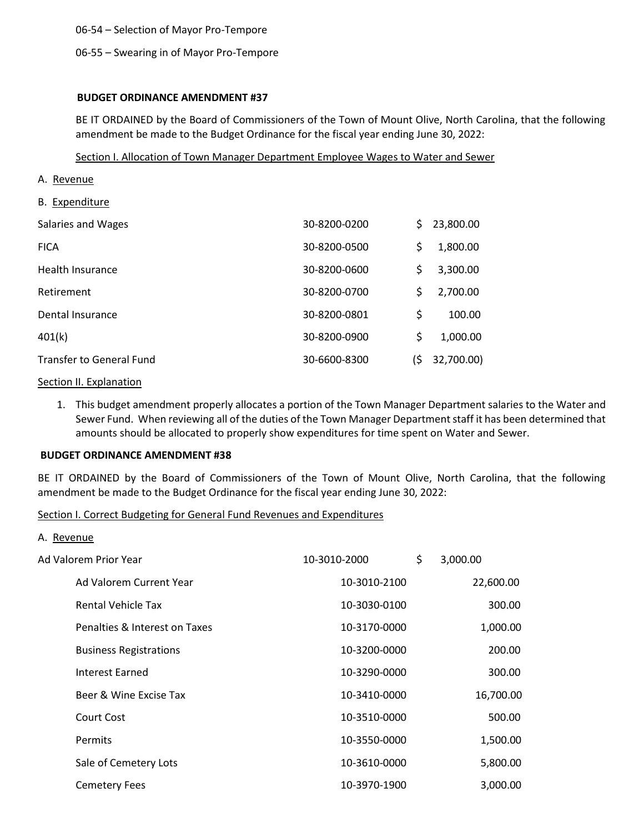06-54 – Selection of Mayor Pro-Tempore

#### 06-55 – Swearing in of Mayor Pro-Tempore

#### **BUDGET ORDINANCE AMENDMENT #37**

BE IT ORDAINED by the Board of Commissioners of the Town of Mount Olive, North Carolina, that the following amendment be made to the Budget Ordinance for the fiscal year ending June 30, 2022:

#### Section I. Allocation of Town Manager Department Employee Wages to Water and Sewer

- A. Revenue
- B. Expenditure

| Salaries and Wages              | 30-8200-0200 | S   | 23,800.00  |
|---------------------------------|--------------|-----|------------|
| <b>FICA</b>                     | 30-8200-0500 | \$  | 1,800.00   |
| Health Insurance                | 30-8200-0600 | \$  | 3,300.00   |
| Retirement                      | 30-8200-0700 | \$  | 2,700.00   |
| Dental Insurance                | 30-8200-0801 | \$  | 100.00     |
| 401(k)                          | 30-8200-0900 | \$  | 1,000.00   |
| <b>Transfer to General Fund</b> | 30-6600-8300 | l\$ | 32,700.00) |

#### Section II. Explanation

1. This budget amendment properly allocates a portion of the Town Manager Department salaries to the Water and Sewer Fund. When reviewing all of the duties of the Town Manager Department staff it has been determined that amounts should be allocated to properly show expenditures for time spent on Water and Sewer.

#### **BUDGET ORDINANCE AMENDMENT #38**

BE IT ORDAINED by the Board of Commissioners of the Town of Mount Olive, North Carolina, that the following amendment be made to the Budget Ordinance for the fiscal year ending June 30, 2022:

Section I. Correct Budgeting for General Fund Revenues and Expenditures

A. Revenue

| Ad Valorem Prior Year         | 10-3010-2000 | \$. | 3,000.00  |
|-------------------------------|--------------|-----|-----------|
| Ad Valorem Current Year       | 10-3010-2100 |     | 22,600.00 |
| <b>Rental Vehicle Tax</b>     | 10-3030-0100 |     | 300.00    |
| Penalties & Interest on Taxes | 10-3170-0000 |     | 1,000.00  |
| <b>Business Registrations</b> | 10-3200-0000 |     | 200.00    |
| Interest Earned               | 10-3290-0000 |     | 300.00    |
| Beer & Wine Excise Tax        | 10-3410-0000 |     | 16,700.00 |
| Court Cost                    | 10-3510-0000 |     | 500.00    |
| <b>Permits</b>                | 10-3550-0000 |     | 1,500.00  |
| Sale of Cemetery Lots         | 10-3610-0000 |     | 5,800.00  |
| Cemetery Fees                 | 10-3970-1900 |     | 3,000.00  |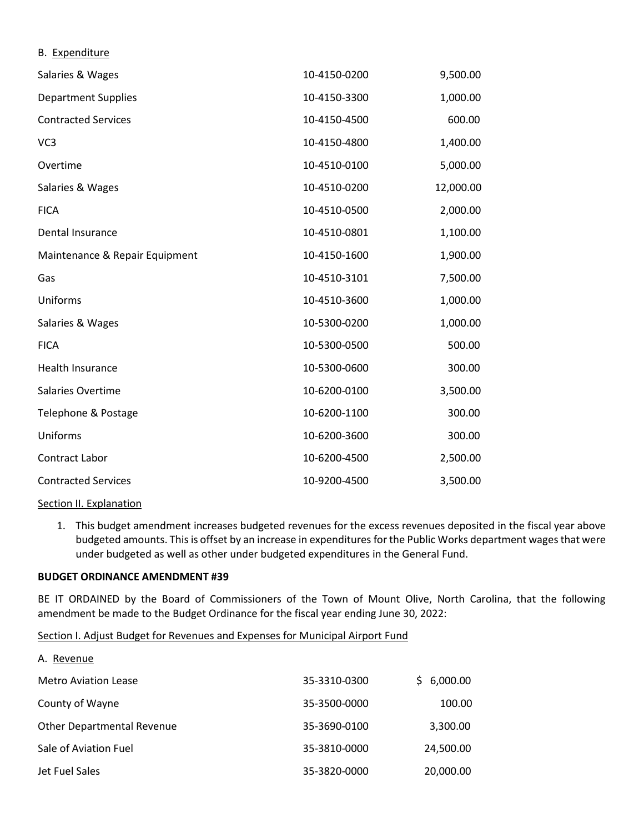| D. <b>LAPCHUILUI</b> L         |              |           |
|--------------------------------|--------------|-----------|
| Salaries & Wages               | 10-4150-0200 | 9,500.00  |
| <b>Department Supplies</b>     | 10-4150-3300 | 1,000.00  |
| <b>Contracted Services</b>     | 10-4150-4500 | 600.00    |
| VC <sub>3</sub>                | 10-4150-4800 | 1,400.00  |
| Overtime                       | 10-4510-0100 | 5,000.00  |
| Salaries & Wages               | 10-4510-0200 | 12,000.00 |
| <b>FICA</b>                    | 10-4510-0500 | 2,000.00  |
| Dental Insurance               | 10-4510-0801 | 1,100.00  |
| Maintenance & Repair Equipment | 10-4150-1600 | 1,900.00  |
| Gas                            | 10-4510-3101 | 7,500.00  |
| Uniforms                       | 10-4510-3600 | 1,000.00  |
| Salaries & Wages               | 10-5300-0200 | 1,000.00  |
| <b>FICA</b>                    | 10-5300-0500 | 500.00    |
| Health Insurance               | 10-5300-0600 | 300.00    |
| Salaries Overtime              | 10-6200-0100 | 3,500.00  |
| Telephone & Postage            | 10-6200-1100 | 300.00    |
| Uniforms                       | 10-6200-3600 | 300.00    |
| <b>Contract Labor</b>          | 10-6200-4500 | 2,500.00  |
| <b>Contracted Services</b>     | 10-9200-4500 | 3,500.00  |
|                                |              |           |

#### Section II. Explanation

B. Expenditure

1. This budget amendment increases budgeted revenues for the excess revenues deposited in the fiscal year above budgeted amounts. This is offset by an increase in expenditures for the Public Works department wages that were under budgeted as well as other under budgeted expenditures in the General Fund.

#### **BUDGET ORDINANCE AMENDMENT #39**

BE IT ORDAINED by the Board of Commissioners of the Town of Mount Olive, North Carolina, that the following amendment be made to the Budget Ordinance for the fiscal year ending June 30, 2022:

Section I. Adjust Budget for Revenues and Expenses for Municipal Airport Fund

| A. Revenue                        |              |            |
|-----------------------------------|--------------|------------|
| <b>Metro Aviation Lease</b>       | 35-3310-0300 | \$6,000.00 |
| County of Wayne                   | 35-3500-0000 | 100.00     |
| <b>Other Departmental Revenue</b> | 35-3690-0100 | 3,300.00   |
| Sale of Aviation Fuel             | 35-3810-0000 | 24,500.00  |
| Jet Fuel Sales                    | 35-3820-0000 | 20,000.00  |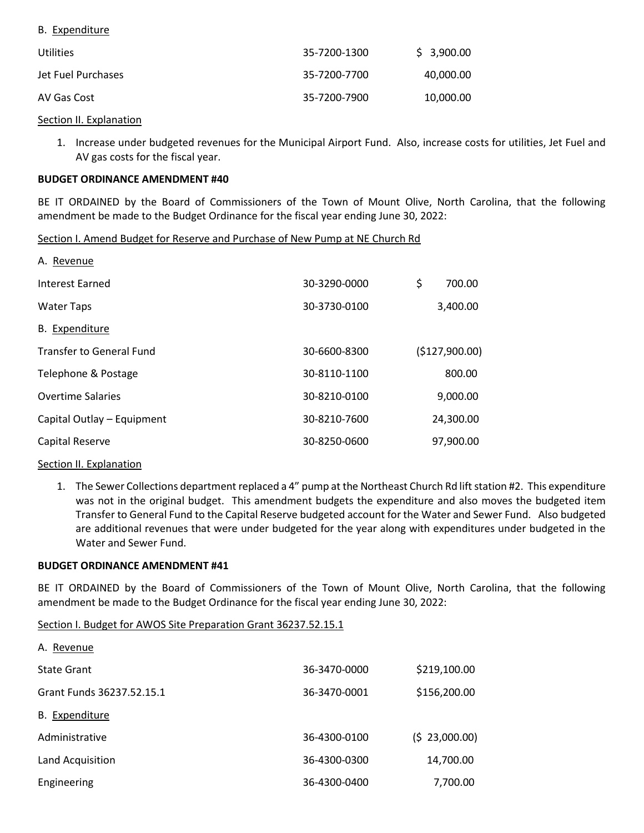|--|

| <b>Utilities</b>   | 35-7200-1300 | \$3,900.00 |
|--------------------|--------------|------------|
| Jet Fuel Purchases | 35-7200-7700 | 40,000.00  |
| AV Gas Cost        | 35-7200-7900 | 10,000.00  |

#### Section II. Explanation

1. Increase under budgeted revenues for the Municipal Airport Fund. Also, increase costs for utilities, Jet Fuel and AV gas costs for the fiscal year.

#### **BUDGET ORDINANCE AMENDMENT #40**

BE IT ORDAINED by the Board of Commissioners of the Town of Mount Olive, North Carolina, that the following amendment be made to the Budget Ordinance for the fiscal year ending June 30, 2022:

Section I. Amend Budget for Reserve and Purchase of New Pump at NE Church Rd

| A. Revenue                      |              |                |
|---------------------------------|--------------|----------------|
| <b>Interest Earned</b>          | 30-3290-0000 | \$<br>700.00   |
| <b>Water Taps</b>               | 30-3730-0100 | 3,400.00       |
| B. Expenditure                  |              |                |
| <b>Transfer to General Fund</b> | 30-6600-8300 | (\$127,900.00) |
| Telephone & Postage             | 30-8110-1100 | 800.00         |
| <b>Overtime Salaries</b>        | 30-8210-0100 | 9,000.00       |
| Capital Outlay - Equipment      | 30-8210-7600 | 24,300.00      |
| Capital Reserve                 | 30-8250-0600 | 97,900.00      |

#### Section II. Explanation

1. The Sewer Collections department replaced a 4" pump at the Northeast Church Rd lift station #2. This expenditure was not in the original budget. This amendment budgets the expenditure and also moves the budgeted item Transfer to General Fund to the Capital Reserve budgeted account for the Water and Sewer Fund. Also budgeted are additional revenues that were under budgeted for the year along with expenditures under budgeted in the Water and Sewer Fund.

#### **BUDGET ORDINANCE AMENDMENT #41**

BE IT ORDAINED by the Board of Commissioners of the Town of Mount Olive, North Carolina, that the following amendment be made to the Budget Ordinance for the fiscal year ending June 30, 2022:

#### Section I. Budget for AWOS Site Preparation Grant 36237.52.15.1

| A. Revenue                |              |               |
|---------------------------|--------------|---------------|
| <b>State Grant</b>        | 36-3470-0000 | \$219,100.00  |
| Grant Funds 36237.52.15.1 | 36-3470-0001 | \$156,200.00  |
| B. Expenditure            |              |               |
| Administrative            | 36-4300-0100 | (5 23,000.00) |
| Land Acquisition          | 36-4300-0300 | 14,700.00     |
| Engineering               | 36-4300-0400 | 7,700.00      |